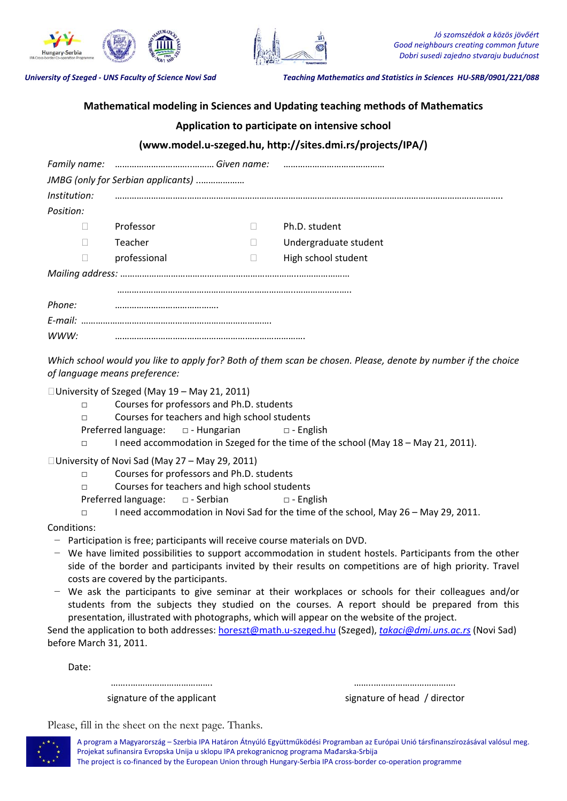



University of Szeged - UNS Faculty of Science Novi Sad<br>
Teaching Mathematics and Statistics in Sciences HU-SRB/0901/221/088

## **Mathematical modeling in Sciences and Updating teaching methods of Mathematics**

## **Application to participate on intensive school**

## **(www.model.u‐szeged.hu, http://sites.dmi.rs/projects/IPA/)**

| JMBG (only for Serbian applicants) |              |  |                       |  |
|------------------------------------|--------------|--|-----------------------|--|
| Institution:                       |              |  |                       |  |
| Position:                          |              |  |                       |  |
| П                                  | Professor    |  | Ph.D. student         |  |
| П                                  | Teacher      |  | Undergraduate student |  |
| $\Box$                             | professional |  | High school student   |  |
|                                    |              |  |                       |  |
|                                    |              |  |                       |  |
| Phone:                             |              |  |                       |  |
|                                    |              |  |                       |  |
| WWW:                               |              |  |                       |  |

Which school would you like to apply for? Both of them scan be chosen. Please, denote by number if the choice *of language means preference:*

University of Szeged (May 19 – May 21, 2011)

- □ Courses for professors and Ph.D. students
- □ Courses for teachers and high school students
- Preferred language:  $□$  Hungarian  $□$  English
- □ I need accommodation in Szeged for the time of the school (May 18 May 21, 2011).

University of Novi Sad (May 27 – May 29, 2011)

- □ Courses for professors and Ph.D. students
- □ Courses for teachers and high school students
- Preferred language: □ ‐ Serbian □ ‐ English
- □ I need accommodation in Novi Sad for the time of the school, May 26 May 29, 2011.

Conditions:

- − Participation is free; participants will receive course materials on DVD.
- − We have limited possibilities to support accommodation in student hostels. Participants from the other side of the border and participants invited by their results on competitions are of high priority. Travel costs are covered by the participants.
- − We ask the participants to give seminar at their workplaces or schools for their colleagues and/or students from the subjects they studied on the courses. A report should be prepared from this presentation, illustrated with photographs, which will appear on the website of the project.

Send the application to both addresses: horeszt@math.u‐szeged.hu (Szeged), *takaci@dmi.uns.ac.rs* (Novi Sad) before March 31, 2011.

Date:

……………………………………… signature of the applicant

…………………………………… signature of head / director

Please, fill in the sheet on the next page. Thanks.



A program a Magyarország – Szerbia IPA Határon Átnyúló Együttműködési Programban az Európai Unió társfinanszírozásával valósul meg. Projekat sufinansira Evropska Unija u sklopu IPA prekogranicnog programa Mađarska‐Srbija The project is co-financed by the European Union through Hungary-Serbia IPA cross-border co-operation programme